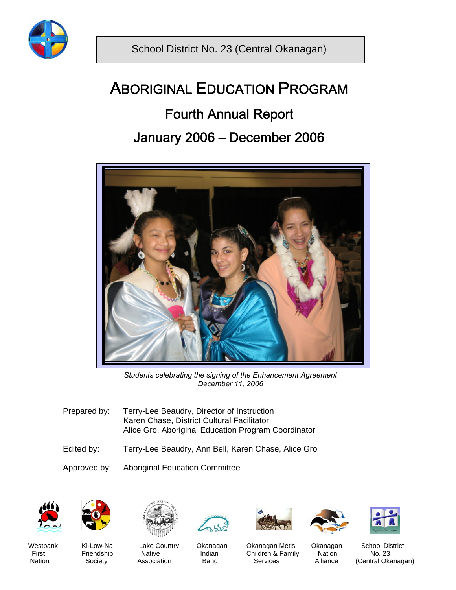

Ī

# ABORIGINAL EDUCATION PROGRAM

# Fourth Annual Report

# January 2006 – December 2006



*Students celebrating the signing of the Enhancement Agreement December 11, 2006* 

- Prepared by: Terry-Lee Beaudry, Director of Instruction Karen Chase, District Cultural Facilitator Alice Gro, Aboriginal Education Program Coordinator
- Edited by: Terry-Lee Beaudry, Ann Bell, Karen Chase, Alice Gro

Approved by: Aboriginal Education Committee



















Westbank Ki-Low-Na Lake Country Okanagan Okanagan Métis Okanagan School District<br>First Friendship Native Indian Children & Family Nation No. 23 First Friendship Native Indian Children & Family Nation<br>
Nation Society Association Band Services Alliance

(Central Okanagan)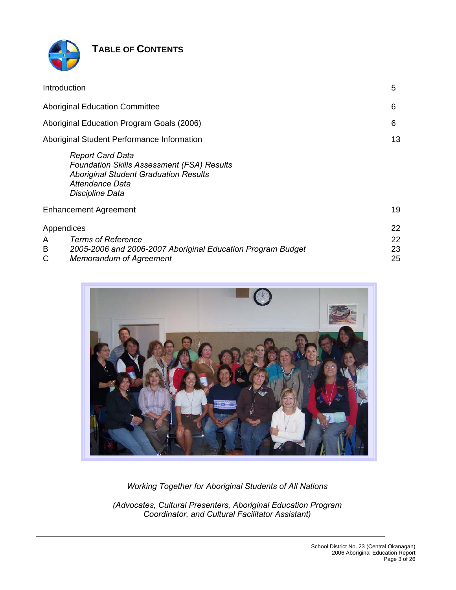

# **TABLE OF CONTENTS**

| Introduction                                                                                                                                                       | 5              |
|--------------------------------------------------------------------------------------------------------------------------------------------------------------------|----------------|
| <b>Aboriginal Education Committee</b>                                                                                                                              | 6              |
| Aboriginal Education Program Goals (2006)                                                                                                                          | 6              |
| Aboriginal Student Performance Information                                                                                                                         | 13             |
| <b>Report Card Data</b><br><b>Foundation Skills Assessment (FSA) Results</b><br><b>Aboriginal Student Graduation Results</b><br>Attendance Data<br>Discipline Data |                |
| <b>Enhancement Agreement</b>                                                                                                                                       | 19             |
| Appendices                                                                                                                                                         | 22             |
| <b>Terms of Reference</b><br>A<br>B<br>2005-2006 and 2006-2007 Aboriginal Education Program Budget<br>C<br><b>Memorandum of Agreement</b>                          | 22<br>23<br>25 |



*Working Together for Aboriginal Students of All Nations* 

*(Advocates, Cultural Presenters, Aboriginal Education Program Coordinator, and Cultural Facilitator Assistant)*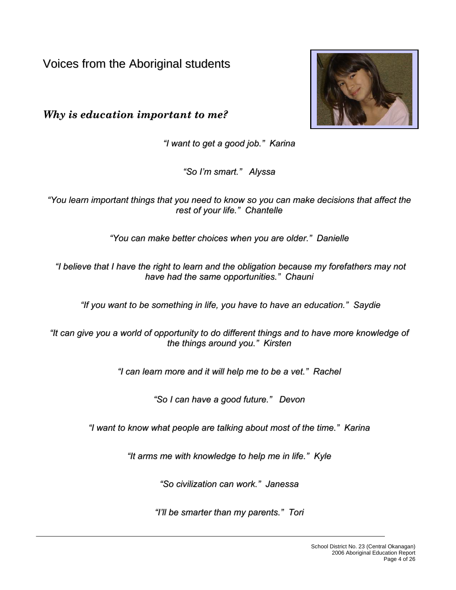Voices from the Aboriginal students

*Why is education important to me?*



*"I want to get a good job." Karina*

*"So I'm smart." Alyssa*

*"You learn important things that you need to know so you can make decisions that affect the rest of your life." Chantelle*

*"You can make better choices when you are older." Danielle*

*"I believe that I have the right to learn and the obligation because my forefathers may not have had the same opportunities." Chauni*

*"If you want to be something in life, you have to have an education." Saydie*

*"It can give you a world of opportunity to do different things and to have more knowledge of the things around you." Kirsten*

*"I can learn more and it will help me to be a vet." Rachel*

*"So I can have a good future." Devon*

*"I want to know what people are talking about most of the time." Karina*

*"It arms me with knowledge to help me in life." Kyle*

*"So civilization can work." Janessa*

*"I'll be smarter than my parents." Tori*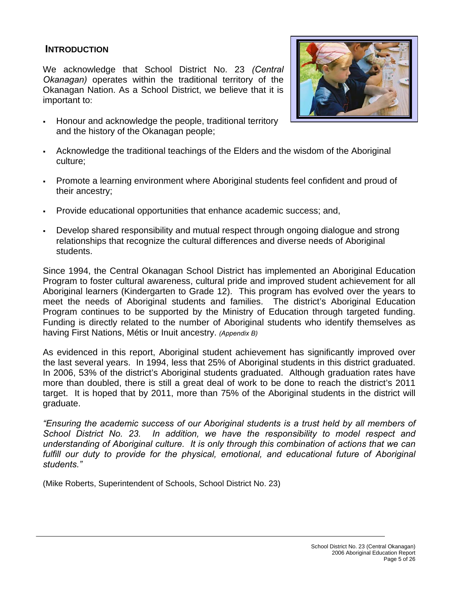### **INTRODUCTION**

We acknowledge that School District No. 23 *(Central Okanagan)* operates within the traditional territory of the Okanagan Nation. As a School District, we believe that it is important to:





- Acknowledge the traditional teachings of the Elders and the wisdom of the Aboriginal culture;
- Promote a learning environment where Aboriginal students feel confident and proud of their ancestry;
- Provide educational opportunities that enhance academic success; and,
- Develop shared responsibility and mutual respect through ongoing dialogue and strong relationships that recognize the cultural differences and diverse needs of Aboriginal students.

Since 1994, the Central Okanagan School District has implemented an Aboriginal Education Program to foster cultural awareness, cultural pride and improved student achievement for all Aboriginal learners (Kindergarten to Grade 12). This program has evolved over the years to meet the needs of Aboriginal students and families. The district's Aboriginal Education Program continues to be supported by the Ministry of Education through targeted funding. Funding is directly related to the number of Aboriginal students who identify themselves as having First Nations, Métis or Inuit ancestry. *(Appendix B)*

As evidenced in this report, Aboriginal student achievement has significantly improved over the last several years. In 1994, less that 25% of Aboriginal students in this district graduated. In 2006, 53% of the district's Aboriginal students graduated. Although graduation rates have more than doubled, there is still a great deal of work to be done to reach the district's 2011 target. It is hoped that by 2011, more than 75% of the Aboriginal students in the district will graduate.

*"Ensuring the academic success of our Aboriginal students is a trust held by all members of School District No. 23. In addition, we have the responsibility to model respect and understanding of Aboriginal culture. It is only through this combination of actions that we can fulfill our duty to provide for the physical, emotional, and educational future of Aboriginal students."*

(Mike Roberts, Superintendent of Schools, School District No. 23)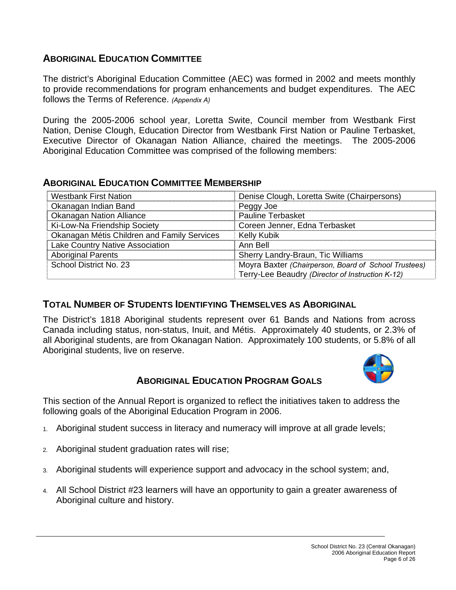# **ABORIGINAL EDUCATION COMMITTEE**

The district's Aboriginal Education Committee (AEC) was formed in 2002 and meets monthly to provide recommendations for program enhancements and budget expenditures. The AEC follows the Terms of Reference. *(Appendix A)*

During the 2005-2006 school year, Loretta Swite, Council member from Westbank First Nation, Denise Clough, Education Director from Westbank First Nation or Pauline Terbasket, Executive Director of Okanagan Nation Alliance, chaired the meetings. The 2005-2006 Aboriginal Education Committee was comprised of the following members:

### **ABORIGINAL EDUCATION COMMITTEE MEMBERSHIP**

| <b>Westbank First Nation</b>                | Denise Clough, Loretta Swite (Chairpersons)          |
|---------------------------------------------|------------------------------------------------------|
| Okanagan Indian Band                        | Peggy Joe                                            |
| <b>Okanagan Nation Alliance</b>             | <b>Pauline Terbasket</b>                             |
| Ki-Low-Na Friendship Society                | Coreen Jenner, Edna Terbasket                        |
| Okanagan Métis Children and Family Services | <b>Kelly Kubik</b>                                   |
| Lake Country Native Association             | Ann Bell                                             |
| <b>Aboriginal Parents</b>                   | Sherry Landry-Braun, Tic Williams                    |
| School District No. 23                      | Moyra Baxter (Chairperson, Board of School Trustees) |
|                                             | Terry-Lee Beaudry (Director of Instruction K-12)     |

# **TOTAL NUMBER OF STUDENTS IDENTIFYING THEMSELVES AS ABORIGINAL**

The District's 1818 Aboriginal students represent over 61 Bands and Nations from across Canada including status, non-status, Inuit, and Métis. Approximately 40 students, or 2.3% of all Aboriginal students, are from Okanagan Nation. Approximately 100 students, or 5.8% of all Aboriginal students, live on reserve.



# **ABORIGINAL EDUCATION PROGRAM GOALS**

This section of the Annual Report is organized to reflect the initiatives taken to address the following goals of the Aboriginal Education Program in 2006.

- 1. Aboriginal student success in literacy and numeracy will improve at all grade levels;
- 2. Aboriginal student graduation rates will rise;
- 3. Aboriginal students will experience support and advocacy in the school system; and,
- 4. All School District #23 learners will have an opportunity to gain a greater awareness of Aboriginal culture and history.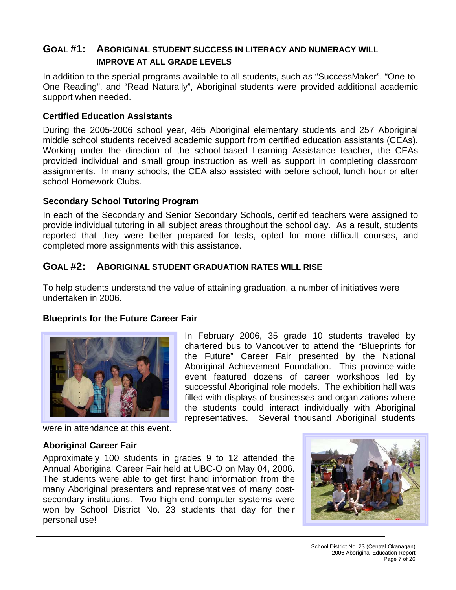# **GOAL #1: ABORIGINAL STUDENT SUCCESS IN LITERACY AND NUMERACY WILL IMPROVE AT ALL GRADE LEVELS**

In addition to the special programs available to all students, such as "SuccessMaker", "One-to-One Reading", and "Read Naturally", Aboriginal students were provided additional academic support when needed.

### **Certified Education Assistants**

During the 2005-2006 school year, 465 Aboriginal elementary students and 257 Aboriginal middle school students received academic support from certified education assistants (CEAs). Working under the direction of the school-based Learning Assistance teacher, the CEAs provided individual and small group instruction as well as support in completing classroom assignments. In many schools, the CEA also assisted with before school, lunch hour or after school Homework Clubs.

#### **Secondary School Tutoring Program**

In each of the Secondary and Senior Secondary Schools, certified teachers were assigned to provide individual tutoring in all subject areas throughout the school day. As a result, students reported that they were better prepared for tests, opted for more difficult courses, and completed more assignments with this assistance.

### **GOAL #2: ABORIGINAL STUDENT GRADUATION RATES WILL RISE**

To help students understand the value of attaining graduation, a number of initiatives were undertaken in 2006.

### **Blueprints for the Future Career Fair**



In February 2006, 35 grade 10 students traveled by chartered bus to Vancouver to attend the "Blueprints for the Future" Career Fair presented by the National Aboriginal Achievement Foundation. This province-wide event featured dozens of career workshops led by successful Aboriginal role models. The exhibition hall was filled with displays of businesses and organizations where the students could interact individually with Aboriginal representatives. Several thousand Aboriginal students

were in attendance at this event.

#### **Aboriginal Career Fair**

Approximately 100 students in grades 9 to 12 attended the Annual Aboriginal Career Fair held at UBC-O on May 04, 2006. The students were able to get first hand information from the many Aboriginal presenters and representatives of many postsecondary institutions. Two high-end computer systems were won by School District No. 23 students that day for their personal use!

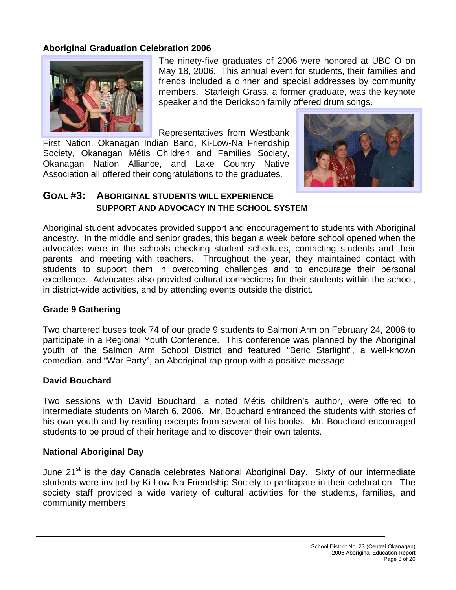## **Aboriginal Graduation Celebration 2006**



The ninety-five graduates of 2006 were honored at UBC O on May 18, 2006. This annual event for students, their families and friends included a dinner and special addresses by community members. Starleigh Grass, a former graduate, was the keynote speaker and the Derickson family offered drum songs.

Representatives from Westbank

First Nation, Okanagan Indian Band, Ki-Low-Na Friendship Society, Okanagan Métis Children and Families Society, Okanagan Nation Alliance, and Lake Country Native Association all offered their congratulations to the graduates.



# **GOAL #3: ABORIGINAL STUDENTS WILL EXPERIENCE SUPPORT AND ADVOCACY IN THE SCHOOL SYSTEM**

Aboriginal student advocates provided support and encouragement to students with Aboriginal ancestry. In the middle and senior grades, this began a week before school opened when the advocates were in the schools checking student schedules, contacting students and their parents, and meeting with teachers. Throughout the year, they maintained contact with students to support them in overcoming challenges and to encourage their personal excellence. Advocates also provided cultural connections for their students within the school, in district-wide activities, and by attending events outside the district.

#### **Grade 9 Gathering**

Two chartered buses took 74 of our grade 9 students to Salmon Arm on February 24, 2006 to participate in a Regional Youth Conference. This conference was planned by the Aboriginal youth of the Salmon Arm School District and featured "Beric Starlight", a well-known comedian, and "War Party", an Aboriginal rap group with a positive message.

### **David Bouchard**

Two sessions with David Bouchard, a noted Métis children's author, were offered to intermediate students on March 6, 2006. Mr. Bouchard entranced the students with stories of his own youth and by reading excerpts from several of his books. Mr. Bouchard encouraged students to be proud of their heritage and to discover their own talents.

### **National Aboriginal Day**

June 21<sup>st</sup> is the day Canada celebrates National Aboriginal Day. Sixty of our intermediate students were invited by Ki-Low-Na Friendship Society to participate in their celebration. The society staff provided a wide variety of cultural activities for the students, families, and community members.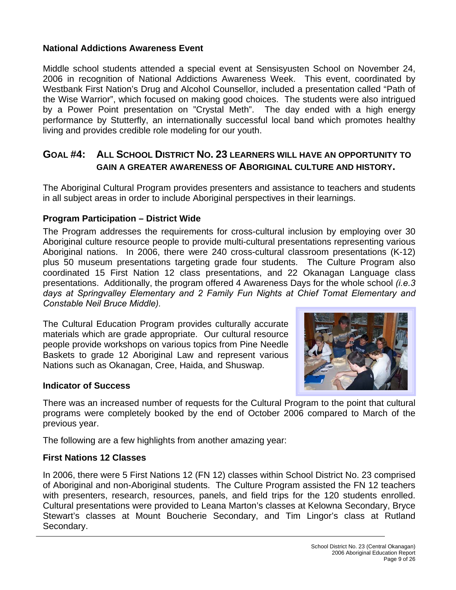### **National Addictions Awareness Event**

Middle school students attended a special event at Sensisyusten School on November 24, 2006 in recognition of National Addictions Awareness Week. This event, coordinated by Westbank First Nation's Drug and Alcohol Counsellor, included a presentation called "Path of the Wise Warrior", which focused on making good choices. The students were also intrigued by a Power Point presentation on "Crystal Meth". The day ended with a high energy performance by Stutterfly, an internationally successful local band which promotes healthy living and provides credible role modeling for our youth.

## **GOAL #4: ALL SCHOOL DISTRICT NO. 23 LEARNERS WILL HAVE AN OPPORTUNITY TO GAIN A GREATER AWARENESS OF ABORIGINAL CULTURE AND HISTORY.**

The Aboriginal Cultural Program provides presenters and assistance to teachers and students in all subject areas in order to include Aboriginal perspectives in their learnings.

#### **Program Participation – District Wide**

The Program addresses the requirements for cross-cultural inclusion by employing over 30 Aboriginal culture resource people to provide multi-cultural presentations representing various Aboriginal nations. In 2006, there were 240 cross-cultural classroom presentations (K-12) plus 50 museum presentations targeting grade four students. The Culture Program also coordinated 15 First Nation 12 class presentations, and 22 Okanagan Language class presentations. Additionally, the program offered 4 Awareness Days for the whole school *(i.e.3 days at Springvalley Elementary and 2 Family Fun Nights at Chief Tomat Elementary and Constable Neil Bruce Middle).*

The Cultural Education Program provides culturally accurate materials which are grade appropriate. Our cultural resource people provide workshops on various topics from Pine Needle Baskets to grade 12 Aboriginal Law and represent various Nations such as Okanagan, Cree, Haida, and Shuswap.



There was an increased number of requests for the Cultural Program to the point that cultural programs were completely booked by the end of October 2006 compared to March of the previous year.

The following are a few highlights from another amazing year:

### **First Nations 12 Classes**

In 2006, there were 5 First Nations 12 (FN 12) classes within School District No. 23 comprised of Aboriginal and non-Aboriginal students. The Culture Program assisted the FN 12 teachers with presenters, research, resources, panels, and field trips for the 120 students enrolled. Cultural presentations were provided to Leana Marton's classes at Kelowna Secondary, Bryce Stewart's classes at Mount Boucherie Secondary, and Tim Lingor's class at Rutland Secondary.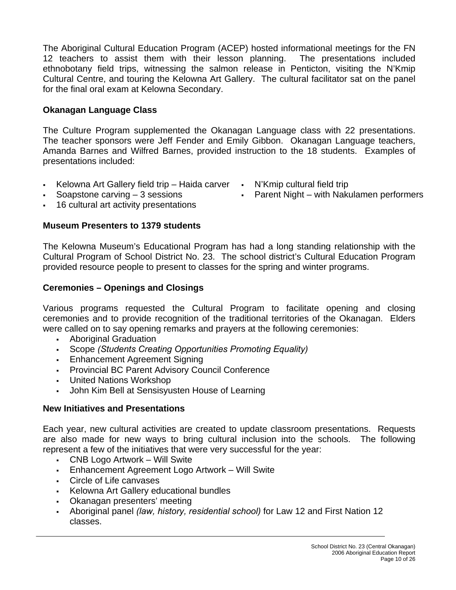The Aboriginal Cultural Education Program (ACEP) hosted informational meetings for the FN 12 teachers to assist them with their lesson planning. The presentations included ethnobotany field trips, witnessing the salmon release in Penticton, visiting the N'Kmip Cultural Centre, and touring the Kelowna Art Gallery. The cultural facilitator sat on the panel for the final oral exam at Kelowna Secondary.

## **Okanagan Language Class**

The Culture Program supplemented the Okanagan Language class with 22 presentations. The teacher sponsors were Jeff Fender and Emily Gibbon. Okanagan Language teachers, Amanda Barnes and Wilfred Barnes, provided instruction to the 18 students. Examples of presentations included:

- Kelowna Art Gallery field trip Haida carver N'Kmip cultural field trip
- 
- 16 cultural art activity presentations

#### **Museum Presenters to 1379 students**

The Kelowna Museum's Educational Program has had a long standing relationship with the Cultural Program of School District No. 23. The school district's Cultural Education Program provided resource people to present to classes for the spring and winter programs.

#### **Ceremonies – Openings and Closings**

Various programs requested the Cultural Program to facilitate opening and closing ceremonies and to provide recognition of the traditional territories of the Okanagan. Elders were called on to say opening remarks and prayers at the following ceremonies:

- Aboriginal Graduation
- Scope *(Students Creating Opportunities Promoting Equality)*
- **Enhancement Agreement Signing**
- **Provincial BC Parent Advisory Council Conference**
- United Nations Workshop
- John Kim Bell at Sensisyusten House of Learning

### **New Initiatives and Presentations**

Each year, new cultural activities are created to update classroom presentations. Requests are also made for new ways to bring cultural inclusion into the schools. The following represent a few of the initiatives that were very successful for the year:

- CNB Logo Artwork Will Swite
- Enhancement Agreement Logo Artwork Will Swite
- Circle of Life canvases
- Kelowna Art Gallery educational bundles
- Okanagan presenters' meeting
- Aboriginal panel *(law, history, residential school)* for Law 12 and First Nation 12 classes.
- 
- Soapstone carving 3 sessions Parent Night with Nakulamen performers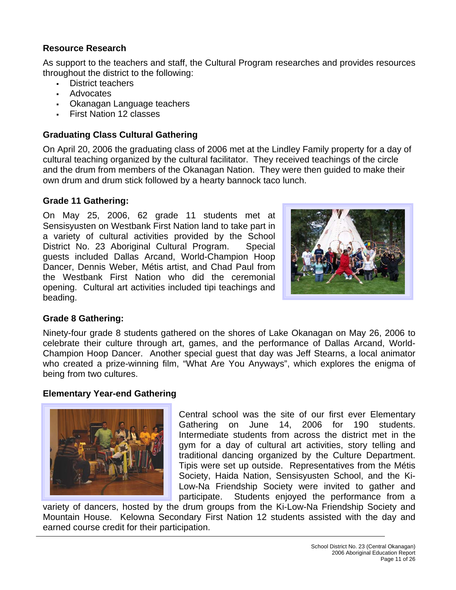## **Resource Research**

As support to the teachers and staff, the Cultural Program researches and provides resources throughout the district to the following:

- District teachers
- Advocates
- Okanagan Language teachers
- First Nation 12 classes

# **Graduating Class Cultural Gathering**

On April 20, 2006 the graduating class of 2006 met at the Lindley Family property for a day of cultural teaching organized by the cultural facilitator. They received teachings of the circle and the drum from members of the Okanagan Nation. They were then guided to make their own drum and drum stick followed by a hearty bannock taco lunch.

# **Grade 11 Gathering:**

On May 25, 2006, 62 grade 11 students met at Sensisyusten on Westbank First Nation land to take part in a variety of cultural activities provided by the School District No. 23 Aboriginal Cultural Program. Special guests included Dallas Arcand, World-Champion Hoop Dancer, Dennis Weber, Métis artist, and Chad Paul from the Westbank First Nation who did the ceremonial opening. Cultural art activities included tipi teachings and beading.



# **Grade 8 Gathering:**

Ninety-four grade 8 students gathered on the shores of Lake Okanagan on May 26, 2006 to celebrate their culture through art, games, and the performance of Dallas Arcand, World-Champion Hoop Dancer. Another special guest that day was Jeff Stearns, a local animator who created a prize-winning film, "What Are You Anyways", which explores the enigma of being from two cultures.

# **Elementary Year-end Gathering**



Central school was the site of our first ever Elementary Gathering on June 14, 2006 for 190 students. Intermediate students from across the district met in the gym for a day of cultural art activities, story telling and traditional dancing organized by the Culture Department. Tipis were set up outside. Representatives from the Métis Society, Haida Nation, Sensisyusten School, and the Ki-Low-Na Friendship Society were invited to gather and participate. Students enjoyed the performance from a

variety of dancers, hosted by the drum groups from the Ki-Low-Na Friendship Society and Mountain House. Kelowna Secondary First Nation 12 students assisted with the day and earned course credit for their participation.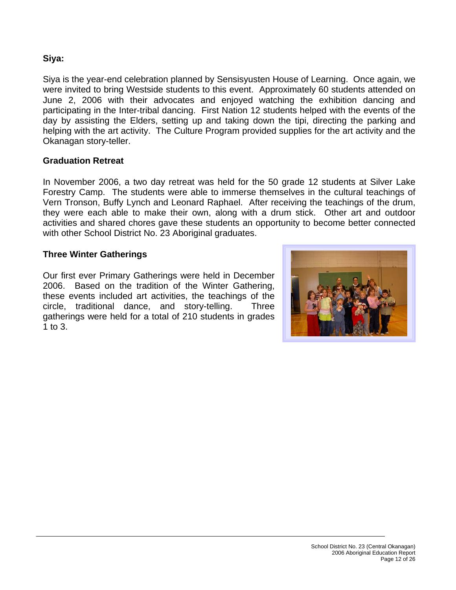### **Siya:**

Siya is the year-end celebration planned by Sensisyusten House of Learning. Once again, we were invited to bring Westside students to this event. Approximately 60 students attended on June 2, 2006 with their advocates and enjoyed watching the exhibition dancing and participating in the Inter-tribal dancing. First Nation 12 students helped with the events of the day by assisting the Elders, setting up and taking down the tipi, directing the parking and helping with the art activity. The Culture Program provided supplies for the art activity and the Okanagan story-teller.

#### **Graduation Retreat**

In November 2006, a two day retreat was held for the 50 grade 12 students at Silver Lake Forestry Camp. The students were able to immerse themselves in the cultural teachings of Vern Tronson, Buffy Lynch and Leonard Raphael. After receiving the teachings of the drum, they were each able to make their own, along with a drum stick. Other art and outdoor activities and shared chores gave these students an opportunity to become better connected with other School District No. 23 Aboriginal graduates.

#### **Three Winter Gatherings**

Our first ever Primary Gatherings were held in December 2006. Based on the tradition of the Winter Gathering, these events included art activities, the teachings of the circle, traditional dance, and story-telling. Three gatherings were held for a total of 210 students in grades 1 to 3.

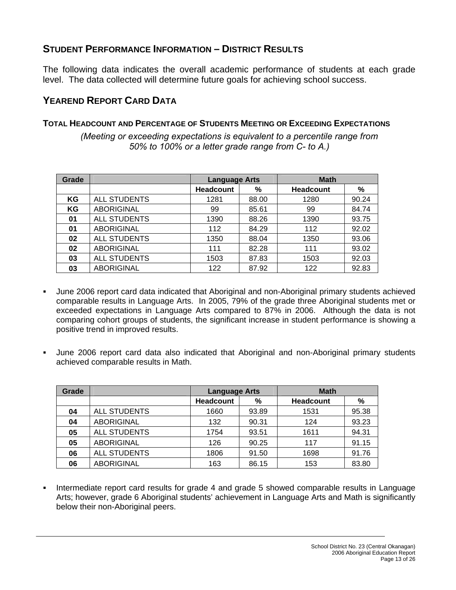# **STUDENT PERFORMANCE INFORMATION – DISTRICT RESULTS**

The following data indicates the overall academic performance of students at each grade level. The data collected will determine future goals for achieving school success.

# **YEAREND REPORT CARD DATA**

### **TOTAL HEADCOUNT AND PERCENTAGE OF STUDENTS MEETING OR EXCEEDING EXPECTATIONS**

*(Meeting or exceeding expectations is equivalent to a percentile range from 50% to 100% or a letter grade range from C- to A.)* 

| Grade |                     | <b>Language Arts</b> |       | <b>Math</b>      |       |
|-------|---------------------|----------------------|-------|------------------|-------|
|       |                     | <b>Headcount</b>     | %     | <b>Headcount</b> | %     |
| ΚG    | <b>ALL STUDENTS</b> | 1281                 | 88.00 | 1280             | 90.24 |
| ΚG    | <b>ABORIGINAL</b>   | 99                   | 85.61 | 99               | 84.74 |
| 01    | <b>ALL STUDENTS</b> | 1390                 | 88.26 | 1390             | 93.75 |
| 01    | <b>ABORIGINAL</b>   | 112                  | 84.29 | 112              | 92.02 |
| 02    | <b>ALL STUDENTS</b> | 1350                 | 88.04 | 1350             | 93.06 |
| 02    | <b>ABORIGINAL</b>   | 111                  | 82.28 | 111              | 93.02 |
| 03    | <b>ALL STUDENTS</b> | 1503                 | 87.83 | 1503             | 92.03 |
| 03    | <b>ABORIGINAL</b>   | 122                  | 87.92 | 122              | 92.83 |

- June 2006 report card data indicated that Aboriginal and non-Aboriginal primary students achieved comparable results in Language Arts. In 2005, 79% of the grade three Aboriginal students met or exceeded expectations in Language Arts compared to 87% in 2006. Although the data is not comparing cohort groups of students, the significant increase in student performance is showing a positive trend in improved results.
- June 2006 report card data also indicated that Aboriginal and non-Aboriginal primary students achieved comparable results in Math.

| Grade |                     | <b>Language Arts</b> |       | <b>Math</b>      |       |
|-------|---------------------|----------------------|-------|------------------|-------|
|       |                     | <b>Headcount</b>     | %     | <b>Headcount</b> | %     |
| 04    | <b>ALL STUDENTS</b> | 1660                 | 93.89 | 1531             | 95.38 |
| 04    | <b>ABORIGINAL</b>   | 132                  | 90.31 | 124              | 93.23 |
| 05    | <b>ALL STUDENTS</b> | 1754                 | 93.51 | 1611             | 94.31 |
| 05    | <b>ABORIGINAL</b>   | 126                  | 90.25 | 117              | 91.15 |
| 06    | <b>ALL STUDENTS</b> | 1806                 | 91.50 | 1698             | 91.76 |
| 06    | <b>ABORIGINAL</b>   | 163                  | 86.15 | 153              | 83.80 |

 Intermediate report card results for grade 4 and grade 5 showed comparable results in Language Arts; however, grade 6 Aboriginal students' achievement in Language Arts and Math is significantly below their non-Aboriginal peers.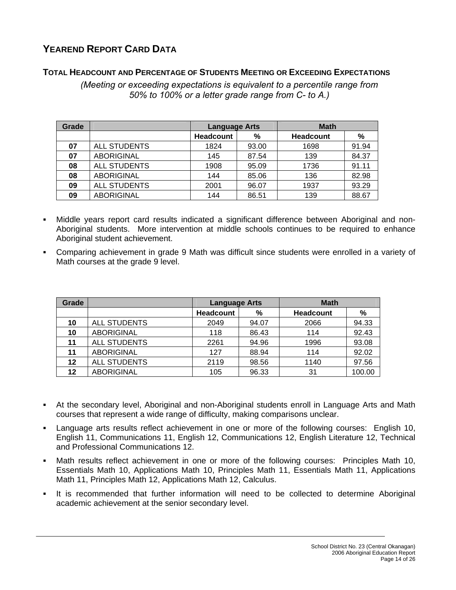# **YEAREND REPORT CARD DATA**

#### **TOTAL HEADCOUNT AND PERCENTAGE OF STUDENTS MEETING OR EXCEEDING EXPECTATIONS**

*(Meeting or exceeding expectations is equivalent to a percentile range from 50% to 100% or a letter grade range from C- to A.)* 

| Grade |                     | <b>Language Arts</b> |       | <b>Math</b>      |       |
|-------|---------------------|----------------------|-------|------------------|-------|
|       |                     | <b>Headcount</b>     | %     | <b>Headcount</b> | %     |
| 07    | <b>ALL STUDENTS</b> | 1824                 | 93.00 | 1698             | 91.94 |
| 07    | <b>ABORIGINAL</b>   | 145                  | 87.54 | 139              | 84.37 |
| 08    | <b>ALL STUDENTS</b> | 1908                 | 95.09 | 1736             | 91.11 |
| 08    | <b>ABORIGINAL</b>   | 144                  | 85.06 | 136              | 82.98 |
| 09    | <b>ALL STUDENTS</b> | 2001                 | 96.07 | 1937             | 93.29 |
| 09    | <b>ABORIGINAL</b>   | 144                  | 86.51 | 139              | 88.67 |

- Middle years report card results indicated a significant difference between Aboriginal and non-Aboriginal students. More intervention at middle schools continues to be required to enhance Aboriginal student achievement.
- Comparing achievement in grade 9 Math was difficult since students were enrolled in a variety of Math courses at the grade 9 level.

| Grade |                     | <b>Language Arts</b> |       | <b>Math</b>      |        |
|-------|---------------------|----------------------|-------|------------------|--------|
|       |                     | <b>Headcount</b>     | %     | <b>Headcount</b> | %      |
| 10    | <b>ALL STUDENTS</b> | 2049                 | 94.07 | 2066             | 94.33  |
| 10    | <b>ABORIGINAL</b>   | 118                  | 86.43 | 114              | 92.43  |
| 11    | <b>ALL STUDENTS</b> | 2261                 | 94.96 | 1996             | 93.08  |
| 11    | <b>ABORIGINAL</b>   | 127                  | 88.94 | 114              | 92.02  |
| 12    | <b>ALL STUDENTS</b> | 2119                 | 98.56 | 1140             | 97.56  |
| 12    | <b>ABORIGINAL</b>   | 105                  | 96.33 | 31               | 100.00 |

- At the secondary level, Aboriginal and non-Aboriginal students enroll in Language Arts and Math courses that represent a wide range of difficulty, making comparisons unclear.
- Language arts results reflect achievement in one or more of the following courses: English 10, English 11, Communications 11, English 12, Communications 12, English Literature 12, Technical and Professional Communications 12.
- Math results reflect achievement in one or more of the following courses: Principles Math 10, Essentials Math 10, Applications Math 10, Principles Math 11, Essentials Math 11, Applications Math 11, Principles Math 12, Applications Math 12, Calculus.
- It is recommended that further information will need to be collected to determine Aboriginal academic achievement at the senior secondary level.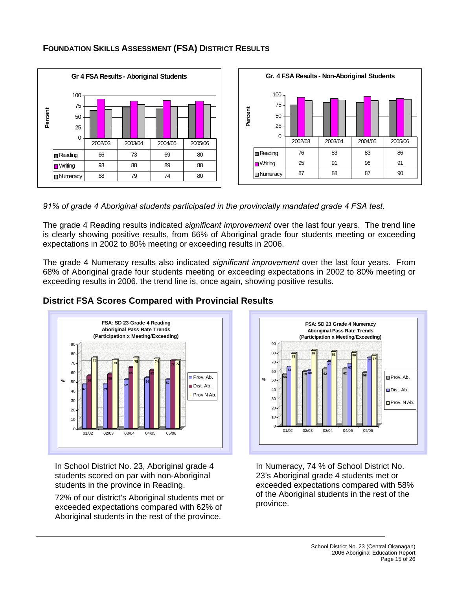

#### **FOUNDATION SKILLS ASSESSMENT (FSA) DISTRICT RESULTS**

*91% of grade 4 Aboriginal students participated in the provincially mandated grade 4 FSA test.* 

The grade 4 Reading results indicated *significant improvement* over the last four years. The trend line is clearly showing positive results, from 66% of Aboriginal grade four students meeting or exceeding expectations in 2002 to 80% meeting or exceeding results in 2006.

The grade 4 Numeracy results also indicated *significant improvement* over the last four years. From 68% of Aboriginal grade four students meeting or exceeding expectations in 2002 to 80% meeting or exceeding results in 2006, the trend line is, once again, showing positive results.



### **District FSA Scores Compared with Provincial Results**

In School District No. 23, Aboriginal grade 4 students scored on par with non-Aboriginal students in the province in Reading.

72% of our district's Aboriginal students met or exceeded expectations compared with 62% of Aboriginal students in the rest of the province.



In Numeracy, 74 % of School District No. 23's Aboriginal grade 4 students met or exceeded expectations compared with 58% of the Aboriginal students in the rest of the province.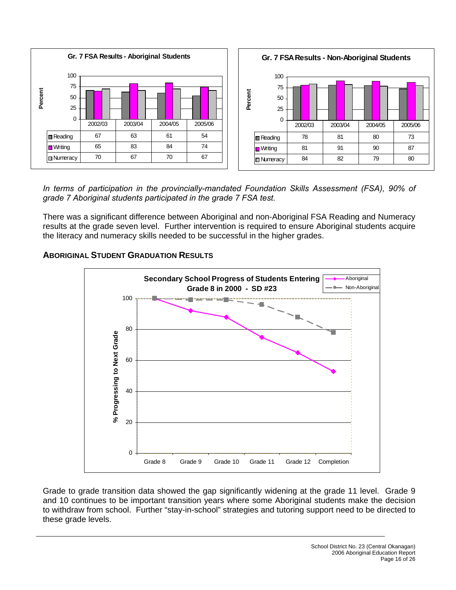

*In terms of participation in the provincially-mandated Foundation Skills Assessment (FSA), 90% of grade 7 Aboriginal students participated in the grade 7 FSA test.* 

There was a significant difference between Aboriginal and non-Aboriginal FSA Reading and Numeracy results at the grade seven level. Further intervention is required to ensure Aboriginal students acquire the literacy and numeracy skills needed to be successful in the higher grades.

#### **ABORIGINAL STUDENT GRADUATION RESULTS**



Grade to grade transition data showed the gap significantly widening at the grade 11 level. Grade 9 and 10 continues to be important transition years where some Aboriginal students make the decision to withdraw from school. Further "stay-in-school" strategies and tutoring support need to be directed to these grade levels.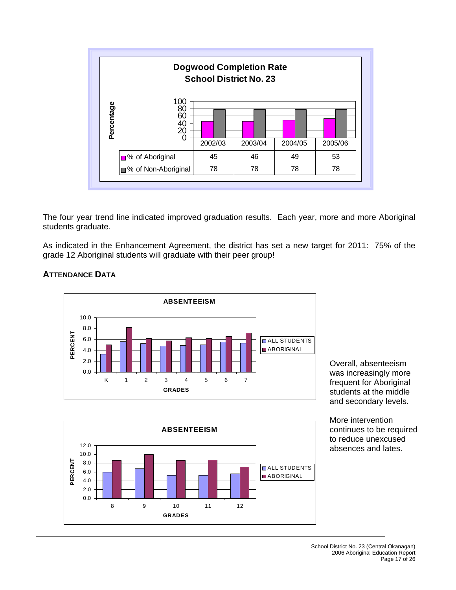

The four year trend line indicated improved graduation results. Each year, more and more Aboriginal students graduate.

As indicated in the Enhancement Agreement, the district has set a new target for 2011: 75% of the grade 12 Aboriginal students will graduate with their peer group!



#### **ATTENDANCE DATA**

Overall, absenteeism was increasingly more frequent for Aboriginal students at the middle and secondary levels.

**ABSENTEEISM** 12.0 10.0 PERCENT **PERCENT** 8.0 **ALL STUDENTS** 6.0 **ABORIGINAL** 4.0 2.0 0.0 8 9 10 11 12 **GRADES**

More intervention continues to be required to reduce unexcused absences and lates.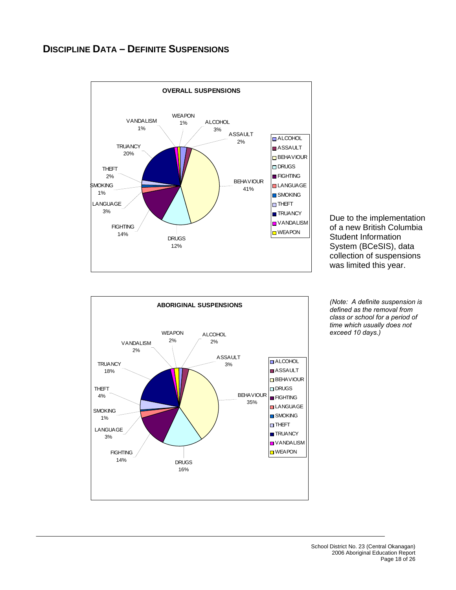## **DISCIPLINE DATA – DEFINITE SUSPENSIONS**



Due to the implementation of a new British Columbia Student Information System (BCeSIS), data collection of suspensions was limited this year.



*(Note: A definite suspension is defined as the removal from class or school for a period of time which usually does not exceed 10 days.)*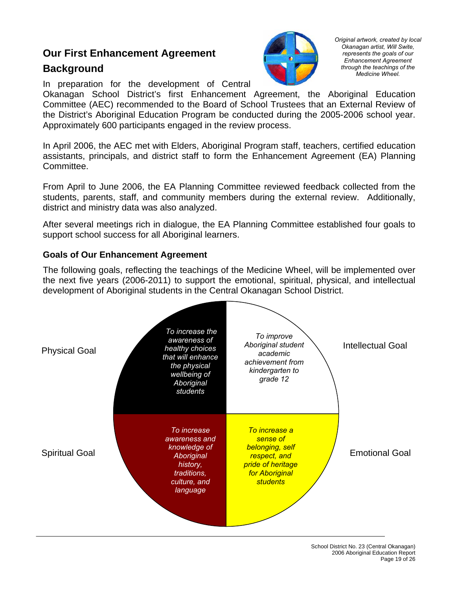# **Our First Enhancement Agreement**

# **Background**



*Original artwork, created by local Okanagan artist, Will Swite, represents the goals of our Enhancement Agreement through the teachings of the Medicine Wheel.* 

In preparation for the development of Central

Okanagan School District's first Enhancement Agreement, the Aboriginal Education Committee (AEC) recommended to the Board of School Trustees that an External Review of the District's Aboriginal Education Program be conducted during the 2005-2006 school year. Approximately 600 participants engaged in the review process.

In April 2006, the AEC met with Elders, Aboriginal Program staff, teachers, certified education assistants, principals, and district staff to form the Enhancement Agreement (EA) Planning Committee.

From April to June 2006, the EA Planning Committee reviewed feedback collected from the students, parents, staff, and community members during the external review. Additionally, district and ministry data was also analyzed.

After several meetings rich in dialogue, the EA Planning Committee established four goals to support school success for all Aboriginal learners.

#### **Goals of Our Enhancement Agreement**

The following goals, reflecting the teachings of the Medicine Wheel, will be implemented over the next five years (2006-2011) to support the emotional, spiritual, physical, and intellectual development of Aboriginal students in the Central Okanagan School District.

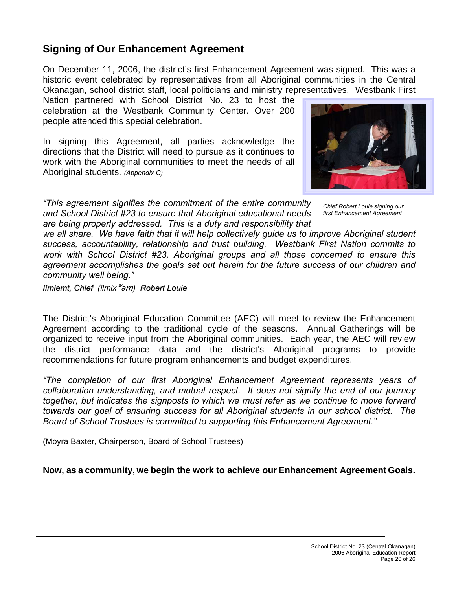# **Signing of Our Enhancement Agreement**

On December 11, 2006, the district's first Enhancement Agreement was signed. This was a historic event celebrated by representatives from all Aboriginal communities in the Central Okanagan, school district staff, local politicians and ministry representatives. Westbank First

Nation partnered with School District No. 23 to host the celebration at the Westbank Community Center. Over 200 people attended this special celebration.

In signing this Agreement, all parties acknowledge the directions that the District will need to pursue as it continues to work with the Aboriginal communities to meet the needs of all Aboriginal students. *(Appendix C)*



*"This agreement signifies the commitment of the entire community and School District #23 to ensure that Aboriginal educational needs are being properly addressed. This is a duty and responsibility that*

*Chief Robert Louie signing our first Enhancement Agreement* 

we all share. We have faith that it will help collectively quide us to improve Aboriginal student *success, accountability, relationship and trust building. Westbank First Nation commits to work with School District #23, Aboriginal groups and all those concerned to ensure this agreement accomplishes the goals set out herein for the future success of our children and community well being."* 

*límləmt, Chief (ilmix*ʷəm*) Robert Louie*

The District's Aboriginal Education Committee (AEC) will meet to review the Enhancement Agreement according to the traditional cycle of the seasons. Annual Gatherings will be organized to receive input from the Aboriginal communities. Each year, the AEC will review the district performance data and the district's Aboriginal programs to provide recommendations for future program enhancements and budget expenditures.

*"The completion of our first Aboriginal Enhancement Agreement represents years of collaboration understanding, and mutual respect. It does not signify the end of our journey together, but indicates the signposts to which we must refer as we continue to move forward towards our goal of ensuring success for all Aboriginal students in our school district. The Board of School Trustees is committed to supporting this Enhancement Agreement."*

(Moyra Baxter, Chairperson, Board of School Trustees)

**Now, as a community, we begin the work to achieve our Enhancement Agreement Goals.**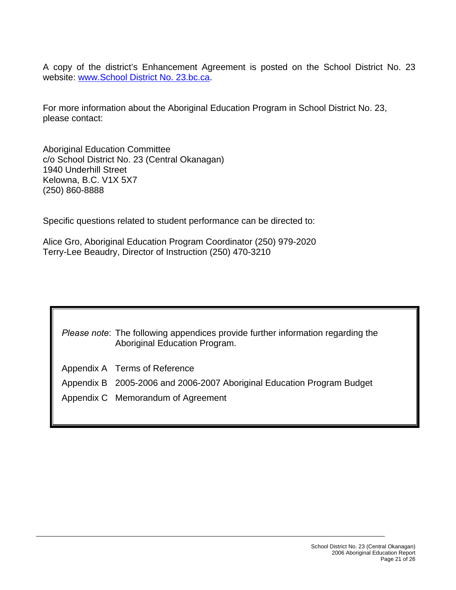A copy of the district's Enhancement Agreement is posted on the School District No. 23 website: [www.School District No. 23.bc.ca.](http://www.sd23.bc.ca/)

For more information about the Aboriginal Education Program in School District No. 23, please contact:

Aboriginal Education Committee c/o School District No. 23 (Central Okanagan) 1940 Underhill Street Kelowna, B.C. V1X 5X7 (250) 860-8888

Specific questions related to student performance can be directed to:

Alice Gro, Aboriginal Education Program Coordinator (250) 979-2020 Terry-Lee Beaudry, Director of Instruction (250) 470-3210

| Please note: The following appendices provide further information regarding the |
|---------------------------------------------------------------------------------|
| Aboriginal Education Program.                                                   |

- Appendix A Terms of Reference
- Appendix B 2005-2006 and 2006-2007 Aboriginal Education Program Budget
- Appendix C Memorandum of Agreement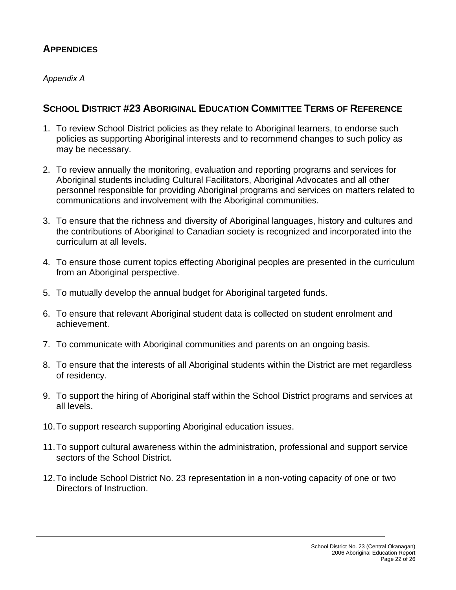# **APPENDICES**

### *Appendix A*

# **SCHOOL DISTRICT #23 ABORIGINAL EDUCATION COMMITTEE TERMS OF REFERENCE**

- 1. To review School District policies as they relate to Aboriginal learners, to endorse such policies as supporting Aboriginal interests and to recommend changes to such policy as may be necessary.
- 2. To review annually the monitoring, evaluation and reporting programs and services for Aboriginal students including Cultural Facilitators, Aboriginal Advocates and all other personnel responsible for providing Aboriginal programs and services on matters related to communications and involvement with the Aboriginal communities.
- 3. To ensure that the richness and diversity of Aboriginal languages, history and cultures and the contributions of Aboriginal to Canadian society is recognized and incorporated into the curriculum at all levels.
- 4. To ensure those current topics effecting Aboriginal peoples are presented in the curriculum from an Aboriginal perspective.
- 5. To mutually develop the annual budget for Aboriginal targeted funds.
- 6. To ensure that relevant Aboriginal student data is collected on student enrolment and achievement.
- 7. To communicate with Aboriginal communities and parents on an ongoing basis.
- 8. To ensure that the interests of all Aboriginal students within the District are met regardless of residency.
- 9. To support the hiring of Aboriginal staff within the School District programs and services at all levels.
- 10. To support research supporting Aboriginal education issues.
- 11. To support cultural awareness within the administration, professional and support service sectors of the School District.
- 12. To include School District No. 23 representation in a non-voting capacity of one or two Directors of Instruction.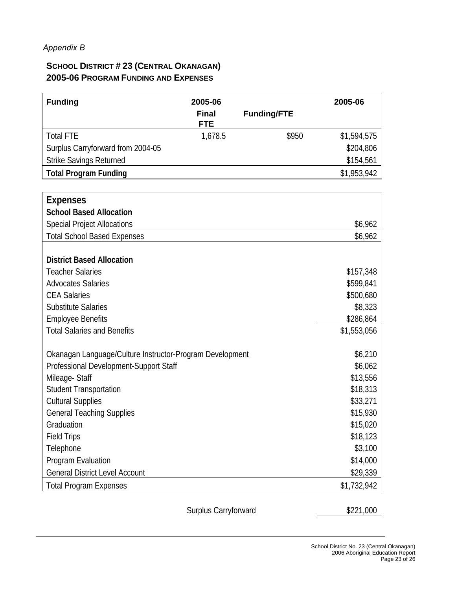## *Appendix B*

## **SCHOOL DISTRICT # 23 (CENTRAL OKANAGAN) 2005-06 PROGRAM FUNDING AND EXPENSES**

| <b>Funding</b>                                           | 2005-06                    |                    | 2005-06     |
|----------------------------------------------------------|----------------------------|--------------------|-------------|
|                                                          | <b>Final</b><br><b>FTE</b> | <b>Funding/FTE</b> |             |
| <b>Total FTE</b>                                         | 1,678.5                    | \$950              | \$1,594,575 |
| Surplus Carryforward from 2004-05                        |                            |                    | \$204,806   |
| Strike Savings Returned                                  |                            |                    | \$154,561   |
| <b>Total Program Funding</b>                             |                            |                    | \$1,953,942 |
|                                                          |                            |                    |             |
| <b>Expenses</b>                                          |                            |                    |             |
| <b>School Based Allocation</b>                           |                            |                    |             |
| <b>Special Project Allocations</b>                       |                            |                    | \$6,962     |
| <b>Total School Based Expenses</b>                       |                            |                    | \$6,962     |
| <b>District Based Allocation</b>                         |                            |                    |             |
| <b>Teacher Salaries</b>                                  |                            |                    | \$157,348   |
| <b>Advocates Salaries</b>                                |                            |                    | \$599,841   |
| <b>CEA Salaries</b>                                      |                            |                    | \$500,680   |
| <b>Substitute Salaries</b>                               |                            |                    | \$8,323     |
| <b>Employee Benefits</b>                                 |                            |                    | \$286,864   |
| <b>Total Salaries and Benefits</b>                       |                            |                    | \$1,553,056 |
|                                                          |                            |                    |             |
| Okanagan Language/Culture Instructor-Program Development |                            |                    | \$6,210     |
| Professional Development-Support Staff                   |                            |                    | \$6,062     |
| Mileage-Staff                                            |                            |                    | \$13,556    |
| <b>Student Transportation</b>                            |                            |                    | \$18,313    |
| <b>Cultural Supplies</b>                                 |                            |                    | \$33,271    |
| <b>General Teaching Supplies</b>                         |                            |                    | \$15,930    |
| Graduation                                               |                            |                    | \$15,020    |
| <b>Field Trips</b>                                       |                            |                    | \$18,123    |
| Telephone                                                |                            |                    | \$3,100     |
| Program Evaluation                                       |                            |                    | \$14,000    |
| <b>General District Level Account</b>                    |                            |                    | \$29,339    |
| <b>Total Program Expenses</b>                            |                            |                    | \$1,732,942 |
|                                                          |                            |                    |             |

Surplus Carryforward **\$221,000**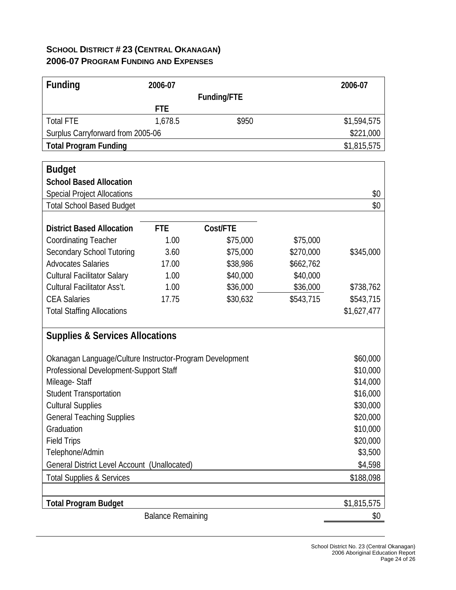# **SCHOOL DISTRICT # 23 (CENTRAL OKANAGAN) 2006-07 PROGRAM FUNDING AND EXPENSES**

| <b>Funding</b>                                           | 2006-07    |             |           | 2006-07     |  |
|----------------------------------------------------------|------------|-------------|-----------|-------------|--|
|                                                          |            | Funding/FTE |           |             |  |
|                                                          | <b>FTE</b> |             |           |             |  |
| <b>Total FTE</b>                                         | 1,678.5    | \$950       |           | \$1,594,575 |  |
| Surplus Carryforward from 2005-06                        |            |             |           | \$221,000   |  |
| <b>Total Program Funding</b>                             |            |             |           | \$1,815,575 |  |
|                                                          |            |             |           |             |  |
| <b>Budget</b>                                            |            |             |           |             |  |
| <b>School Based Allocation</b>                           |            |             |           |             |  |
| <b>Special Project Allocations</b>                       |            |             |           | \$0         |  |
| <b>Total School Based Budget</b>                         |            |             |           | \$0         |  |
| <b>District Based Allocation</b>                         | <b>FTE</b> | Cost/FTE    |           |             |  |
| <b>Coordinating Teacher</b>                              | 1.00       | \$75,000    | \$75,000  |             |  |
| <b>Secondary School Tutoring</b>                         | 3.60       | \$75,000    | \$270,000 | \$345,000   |  |
| <b>Advocates Salaries</b>                                | 17.00      | \$38,986    | \$662,762 |             |  |
| <b>Cultural Facilitator Salary</b>                       | 1.00       | \$40,000    | \$40,000  |             |  |
| Cultural Facilitator Ass't.                              | 1.00       | \$36,000    | \$36,000  | \$738,762   |  |
| <b>CEA Salaries</b>                                      | 17.75      | \$30,632    | \$543,715 | \$543,715   |  |
| <b>Total Staffing Allocations</b>                        |            |             |           | \$1,627,477 |  |
|                                                          |            |             |           |             |  |
| <b>Supplies &amp; Services Allocations</b>               |            |             |           |             |  |
|                                                          |            |             |           |             |  |
| Okanagan Language/Culture Instructor-Program Development |            |             |           | \$60,000    |  |
| Professional Development-Support Staff                   |            |             |           | \$10,000    |  |
| Mileage-Staff                                            |            |             |           | \$14,000    |  |
| <b>Student Transportation</b>                            |            |             |           | \$16,000    |  |
| <b>Cultural Supplies</b>                                 |            |             |           | \$30,000    |  |
| <b>General Teaching Supplies</b>                         |            |             |           | \$20,000    |  |
| Graduation                                               |            |             |           | \$10,000    |  |
| <b>Field Trips</b>                                       |            |             |           | \$20,000    |  |
| Telephone/Admin                                          |            | \$3,500     |           |             |  |
| General District Level Account (Unallocated)             | \$4,598    |             |           |             |  |
| <b>Total Supplies &amp; Services</b>                     |            |             |           | \$188,098   |  |
|                                                          |            |             |           |             |  |
| <b>Total Program Budget</b>                              |            | \$1,815,575 |           |             |  |
|                                                          | \$0        |             |           |             |  |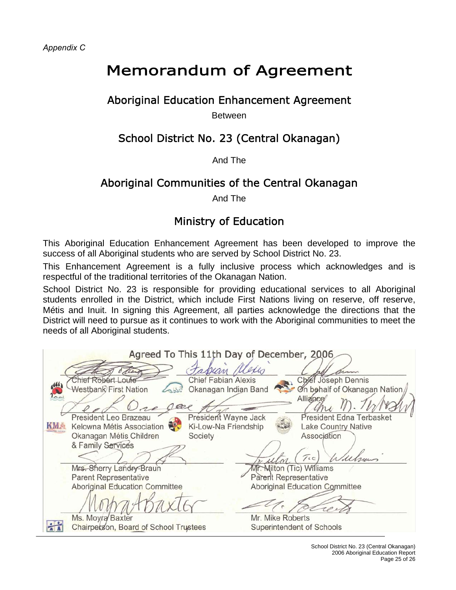*Appendix C* 

# Memorandum of Agreement

# Aboriginal Education Enhancement Agreement

**Between** 

# School District No. 23 (Central Okanagan)

#### And The

# Aboriginal Communities of the Central Okanagan

And The

# Ministry of Education

This Aboriginal Education Enhancement Agreement has been developed to improve the success of all Aboriginal students who are served by School District No. 23.

This Enhancement Agreement is a fully inclusive process which acknowledges and is respectful of the traditional territories of the Okanagan Nation.

School District No. 23 is responsible for providing educational services to all Aboriginal students enrolled in the District, which include First Nations living on reserve, off reserve, Métis and Inuit. In signing this Agreement, all parties acknowledge the directions that the District will need to pursue as it continues to work with the Aboriginal communities to meet the needs of all Aboriginal students.

Agreed To This 11th Day of December, 2006 assan Chief Robert Louie **Chief Fabian Alexis** Chief Joseph Dennis **Westban**<sup>C</sup> First Nation Okanagan Indian Band On behalf of Okanagan Nation Alliance nose President Leo Brazeau President Wayne Jack President Edna Terbasket **KMA** Ki-Low-Na Friendship Kelowna Métis Association **Lake Country Native** Okanagan Métis Children Society Association & Family Services  $\tau_{\rm cc}$ Mr. Milton (Tic) Williams Mrs. Sherry Landry-Braun **Parent Representative** Parent Representative **Aboriginal Education Committee Aboriginal Education Committee** Ms. Moyra Baxter Mr. Mike Roberts Chairpetson, Board of School Trustees Superintendent of Schools